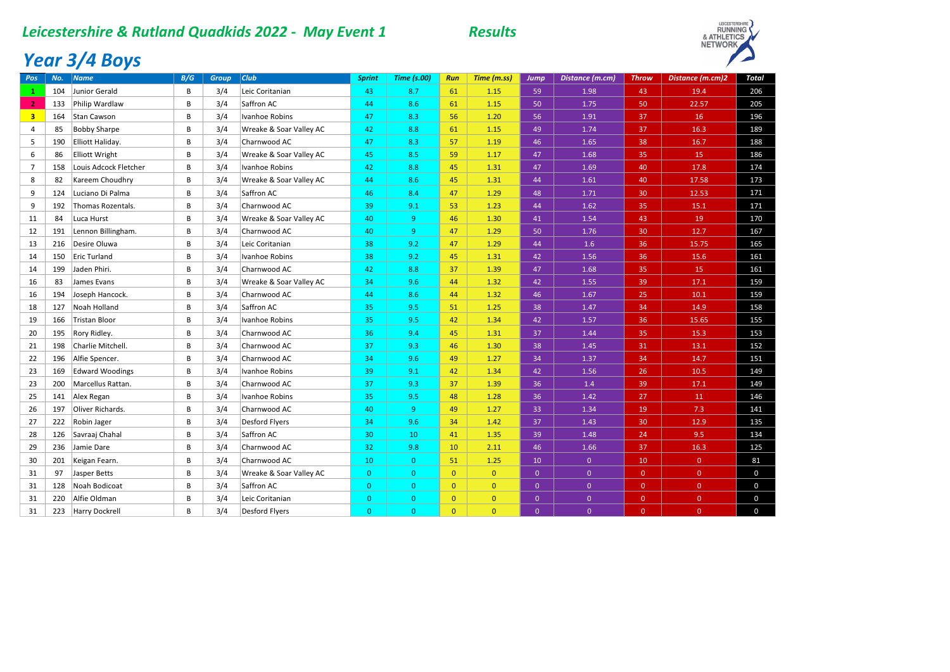#### *Leicestershire & Rutland Quadkids 2022 - May Event 1 Results*



## *Year 3/4 Boys*

| Pos                     | No. | <b>Name</b>            | B/G          | <b>Group</b> | $ _{\text{Club}}$       | <b>Sprint</b>  | <b>Time (s.00)</b> | Run          | Time (m.ss)    | Jump           | Distance (m.cm) | <b>Throw</b>   | Distance (m.cm)2 | <b>Total</b> |
|-------------------------|-----|------------------------|--------------|--------------|-------------------------|----------------|--------------------|--------------|----------------|----------------|-----------------|----------------|------------------|--------------|
| 1                       | 104 | Junior Gerald          | B            | 3/4          | Leic Coritanian         | 43             | 8.7                | 61           | 1.15           | 59             | 1.98            | 43             | 19.4             | 206          |
| $\overline{2}$          | 133 | Philip Wardlaw         | B            | 3/4          | Saffron AC              | 44             | 8.6                | 61           | 1.15           | 50             | 1.75            | 50             | 22.57            | 205          |
| $\overline{\mathbf{3}}$ | 164 | Stan Cawson            | B            | 3/4          | Ivanhoe Robins          | 47             | 8.3                | 56           | 1.20           | 56             | 1.91            | 37             | 16               | 196          |
| 4                       | 85  | <b>Bobby Sharpe</b>    | <sub>R</sub> | 3/4          | Wreake & Soar Valley AC | 42             | 8.8                | 61           | 1.15           | 49             | 1.74            | 37             | 16.3             | 189          |
| 5                       | 190 | Elliott Haliday.       | B            | 3/4          | Charnwood AC            | 47             | 8.3                | 57           | 1.19           | 46             | 1.65            | 38             | 16.7             | 188          |
| 6                       | 86  | <b>Elliott Wright</b>  | B            | 3/4          | Wreake & Soar Valley AC | 45             | 8.5                | 59           | 1.17           | 47             | 1.68            | 35             | 15               | 186          |
| $\overline{7}$          | 158 | Louis Adcock Fletcher  | В            | 3/4          | Ivanhoe Robins          | 42             | 8.8                | 45           | 1.31           | 47             | 1.69            | 40             | 17.8             | 174          |
| 8                       | 82  | Kareem Choudhry        | B            | 3/4          | Wreake & Soar Valley AC | 44             | 8.6                | 45           | 1.31           | 44             | 1.61            | 40             | 17.58            | 173          |
| 9                       | 124 | Luciano Di Palma       | В            | 3/4          | Saffron AC              | 46             | 8.4                | 47           | 1.29           | 48             | 1.71            | 30             | 12.53            | 171          |
| 9                       | 192 | Thomas Rozentals.      | B            | 3/4          | Charnwood AC            | 39             | 9.1                | 53           | 1.23           | 44             | 1.62            | 35             | 15.1             | 171          |
| 11                      | 84  | Luca Hurst             | B            | 3/4          | Wreake & Soar Valley AC | 40             | $\overline{9}$     | 46           | 1.30           | 41             | 1.54            | 43             | 19               | 170          |
| 12                      | 191 | Lennon Billingham.     | B            | 3/4          | Charnwood AC            | 40             | 9                  | 47           | 1.29           | 50             | 1.76            | 30             | 12.7             | 167          |
| 13                      | 216 | Desire Oluwa           | B            | 3/4          | Leic Coritanian         | 38             | 9.2                | 47           | 1.29           | 44             | 1.6             | 36             | 15.75            | 165          |
| 14                      | 150 | <b>Eric Turland</b>    | R            | 3/4          | Ivanhoe Robins          | 38             | 9.2                | 45           | 1.31           | 42             | 1.56            | 36             | 15.6             | 161          |
| 14                      | 199 | Jaden Phiri.           | B            | 3/4          | Charnwood AC            | 42             | 8.8                | 37           | 1.39           | 47             | 1.68            | 35             | 15               | 161          |
| 16                      | 83  | James Evans            | B            | 3/4          | Wreake & Soar Valley AC | 34             | 9.6                | 44           | 1.32           | 42             | 1.55            | 39             | 17.1             | 159          |
| 16                      | 194 | Joseph Hancock.        | В            | 3/4          | Charnwood AC            | 44             | 8.6                | 44           | 1.32           | 46             | 1.67            | 25             | 10.1             | 159          |
| 18                      | 127 | Noah Holland           | B            | 3/4          | Saffron AC              | 35             | 9.5                | 51           | 1.25           | 38             | 1.47            | 34             | 14.9             | 158          |
| 19                      | 166 | <b>Tristan Bloor</b>   | B            | 3/4          | Ivanhoe Robins          | 35             | 9.5                | 42           | 1.34           | 42             | 1.57            | 36             | 15.65            | 155          |
| 20                      | 195 | Rory Ridley.           | B            | 3/4          | Charnwood AC            | 36             | 9.4                | 45           | 1.31           | 37             | 1.44            | 35             | 15.3             | 153          |
| 21                      | 198 | Charlie Mitchell.      | B            | 3/4          | Charnwood AC            | 37             | 9.3                | 46           | 1.30           | 38             | 1.45            | 31             | 13.1             | 152          |
| 22                      | 196 | Alfie Spencer.         | B            | 3/4          | Charnwood AC            | 34             | 9.6                | 49           | 1.27           | 34             | 1.37            | 34             | 14.7             | 151          |
| 23                      | 169 | <b>Edward Woodings</b> | B            | 3/4          | Ivanhoe Robins          | 39             | 9.1                | 42           | 1.34           | 42             | 1.56            | 26             | 10.5             | 149          |
| 23                      | 200 | Marcellus Rattan.      | B            | 3/4          | Charnwood AC            | 37             | 9.3                | 37           | 1.39           | 36             | 1.4             | 39             | 17.1             | 149          |
| 25                      | 141 | Alex Regan             | B            | 3/4          | Ivanhoe Robins          | 35             | 9.5                | 48           | 1.28           | 36             | 1.42            | 27             | 11               | 146          |
| 26                      | 197 | Oliver Richards.       | B            | 3/4          | Charnwood AC            | 40             | $\overline{9}$     | 49           | 1.27           | 33             | 1.34            | 19             | 7.3              | 141          |
| 27                      | 222 | Robin Jager            | B            | 3/4          | Desford Flyers          | 34             | 9.6                | 34           | 1.42           | 37             | 1.43            | 30             | 12.9             | 135          |
| 28                      | 126 | Savraaj Chahal         | B            | 3/4          | Saffron AC              | 30             | 10                 | 41           | 1.35           | 39             | 1.48            | 24             | 9.5              | 134          |
| 29                      | 236 | Jamie Dare             | B            | 3/4          | Charnwood AC            | 32             | 9.8                | 10           | 2.11           | 46             | 1.66            | 37             | 16.3             | 125          |
| 30                      | 201 | Keigan Fearn.          | В            | 3/4          | Charnwood AC            | 10             | $\overline{0}$     | 51           | 1.25           | 10             | $\mathbf{0}$    | 10             | $\overline{0}$   | 81           |
| 31                      | 97  | Jasper Betts           | B            | 3/4          | Wreake & Soar Valley AC | $\overline{0}$ | $\overline{0}$     | $\mathbf{0}$ | $\overline{0}$ | $\overline{0}$ | $\overline{0}$  | $\overline{0}$ | $\overline{0}$   | $\mathbf 0$  |
| 31                      | 128 | Noah Bodicoat          | B            | 3/4          | Saffron AC              | $\overline{0}$ | $\mathbf{0}$       | $\mathbf{0}$ | $\overline{0}$ | $\overline{0}$ | $\overline{0}$  | $\overline{0}$ | $\overline{0}$   | $\mathbf 0$  |
| 31                      | 220 | Alfie Oldman           | B            | 3/4          | Leic Coritanian         | $\overline{0}$ | $\overline{0}$     | $\mathbf{0}$ | $\mathbf{0}$   | $\mathbf{0}$   | $\overline{0}$  | $\overline{0}$ | $\overline{0}$   | $\mathbf 0$  |
| 31                      | 223 | Harry Dockrell         | B            | 3/4          | <b>Desford Flyers</b>   | $\Omega$       | $\Omega$           | $\Omega$     | $\Omega$       | $\overline{0}$ | $\Omega$        | $\overline{0}$ | $\Omega$         | $\mathbf 0$  |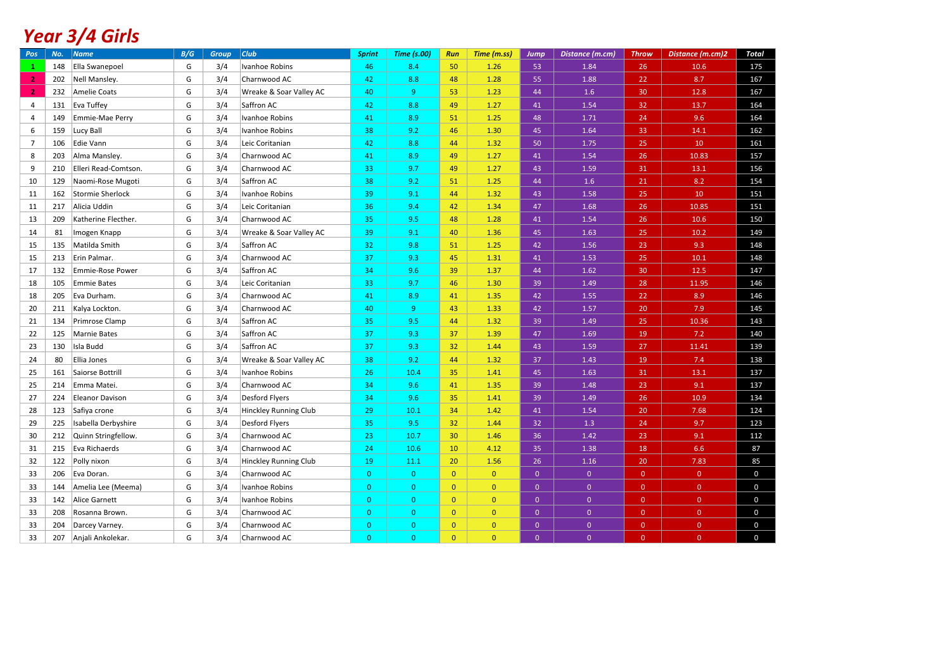## *Year 3/4 Girls*

| Pos            | No. | <b>Name</b>             | B/G | <b>Group</b> | $ _{\text{Club}}$       | <b>Sprint</b>  | <b>Time (s.00)</b> | Run            | Time (m.ss)    | Jump         | Distance (m.cm) | <b>Throw</b>   | Distance (m.cm)2 | <b>Total</b> |
|----------------|-----|-------------------------|-----|--------------|-------------------------|----------------|--------------------|----------------|----------------|--------------|-----------------|----------------|------------------|--------------|
| $\mathbf{1}$   | 148 | Ella Swanepoel          | G   | 3/4          | Ivanhoe Robins          | 46             | 8.4                | 50             | 1.26           | 53           | 1.84            | 26             | 10.6             | 175          |
| 2 <sub>1</sub> | 202 | Nell Mansley.           | G   | 3/4          | Charnwood AC            | 42             | 8.8                | 48             | 1.28           | 55           | 1.88            | 22             | 8.7              | 167          |
| $\mathbf{2}$   | 232 | <b>Amelie Coats</b>     | G   | 3/4          | Wreake & Soar Valley AC | 40             | 9                  | 53             | 1.23           | 44           | 1.6             | 30             | 12.8             | 167          |
| $\overline{4}$ | 131 | Eva Tuffey              | G   | 3/4          | Saffron AC              | 42             | 8.8                | 49             | 1.27           | 41           | 1.54            | 32             | 13.7             | 164          |
| 4              | 149 | Emmie-Mae Perry         | G   | 3/4          | Ivanhoe Robins          | 41             | 8.9                | 51             | 1.25           | 48           | 1.71            | 24             | 9.6              | 164          |
| 6              | 159 | Lucy Ball               | G   | 3/4          | Ivanhoe Robins          | 38             | 9.2                | 46             | 1.30           | 45           | 1.64            | 33             | 14.1             | 162          |
| $\overline{7}$ | 106 | <b>Edie Vann</b>        | G   | 3/4          | Leic Coritanian         | 42             | 8.8                | 44             | 1.32           | 50           | 1.75            | 25             | 10               | 161          |
| 8              | 203 | Alma Mansley.           | G   | 3/4          | Charnwood AC            | 41             | 8.9                | 49             | 1.27           | 41           | 1.54            | 26             | 10.83            | 157          |
| 9              | 210 | Elleri Read-Comtson.    | G   | 3/4          | Charnwood AC            | 33             | 9.7                | 49             | 1.27           | 43           | 1.59            | 31             | 13.1             | 156          |
| 10             | 129 | Naomi-Rose Mugoti       | G   | 3/4          | Saffron AC              | 38             | 9.2                | 51             | 1.25           | 44           | 1.6             | 21             | 8.2              | 154          |
| 11             | 162 | Stormie Sherlock        | G   | 3/4          | Ivanhoe Robins          | 39             | 9.1                | 44             | 1.32           | 43           | 1.58            | 25             | 10               | 151          |
| 11             | 217 | Alicia Uddin            | G   | 3/4          | Leic Coritanian         | 36             | 9.4                | 42             | 1.34           | 47           | 1.68            | 26             | 10.85            | 151          |
| 13             | 209 | Katherine Flecther.     | G   | 3/4          | Charnwood AC            | 35             | 9.5                | 48             | 1.28           | 41           | 1.54            | 26             | 10.6             | 150          |
| 14             | 81  | Imogen Knapp            | G   | 3/4          | Wreake & Soar Valley AC | 39             | 9.1                | 40             | 1.36           | 45           | 1.63            | 25             | 10.2             | 149          |
| 15             | 135 | Matilda Smith           | G   | 3/4          | Saffron AC              | 32             | 9.8                | 51             | 1.25           | 42           | 1.56            | 23             | 9.3              | 148          |
| 15             | 213 | Erin Palmar.            | G   | 3/4          | Charnwood AC            | 37             | 9.3                | 45             | 1.31           | 41           | 1.53            | 25             | 10.1             | 148          |
| 17             | 132 | <b>Emmie-Rose Power</b> | G   | 3/4          | Saffron AC              | 34             | 9.6                | 39             | 1.37           | 44           | 1.62            | 30             | 12.5             | 147          |
| 18             | 105 | <b>Emmie Bates</b>      | G   | 3/4          | Leic Coritanian         | 33             | 9.7                | 46             | 1.30           | 39           | 1.49            | 28             | 11.95            | 146          |
| 18             | 205 | Eva Durham.             | G   | 3/4          | Charnwood AC            | 41             | 8.9                | 41             | 1.35           | 42           | 1.55            | 22             | 8.9              | 146          |
| 20             | 211 | Kalya Lockton.          | G   | 3/4          | Charnwood AC            | 40             | 9 <sup>°</sup>     | 43             | 1.33           | 42           | 1.57            | 20             | 7.9              | 145          |
| 21             | 134 | Primrose Clamp          | G   | 3/4          | Saffron AC              | 35             | 9.5                | 44             | 1.32           | 39           | 1.49            | 25             | 10.36            | 143          |
| 22             | 125 | <b>Marnie Bates</b>     | G   | 3/4          | Saffron AC              | 37             | 9.3                | 37             | 1.39           | 47           | 1.69            | 19             | 7.2              | 140          |
| 23             | 130 | Isla Budd               | G   | 3/4          | Saffron AC              | 37             | 9.3                | 32             | 1.44           | 43           | 1.59            | 27             | 11.41            | 139          |
| 24             | 80  | Ellia Jones             | G   | 3/4          | Wreake & Soar Valley AC | 38             | 9.2                | 44             | 1.32           | 37           | 1.43            | 19             | 7.4              | 138          |
| 25             | 161 | Saiorse Bottrill        | G   | 3/4          | Ivanhoe Robins          | 26             | 10.4               | 35             | 1.41           | 45           | 1.63            | 31             | 13.1             | 137          |
| 25             | 214 | Emma Matei.             | G   | 3/4          | Charnwood AC            | 34             | 9.6                | 41             | 1.35           | 39           | 1.48            | 23             | 9.1              | 137          |
| 27             | 224 | <b>Eleanor Davison</b>  | G   | 3/4          | <b>Desford Flyers</b>   | 34             | 9.6                | 35             | 1.41           | 39           | 1.49            | 26             | 10.9             | 134          |
| 28             | 123 | Safiya crone            | G   | 3/4          | Hinckley Running Club   | 29             | 10.1               | 34             | 1.42           | 41           | 1.54            | 20             | 7.68             | 124          |
| 29             | 225 | Isabella Derbyshire     | G   | 3/4          | <b>Desford Flyers</b>   | 35             | 9.5                | 32             | 1.44           | 32           | 1.3             | 24             | 9.7              | 123          |
| 30             | 212 | Quinn Stringfellow.     | G   | 3/4          | Charnwood AC            | 23             | 10.7               | 30             | 1.46           | 36           | 1.42            | 23             | 9.1              | 112          |
| 31             | 215 | Eva Richaerds           | G   | 3/4          | Charnwood AC            | 24             | 10.6               | 10             | 4.12           | 35           | 1.38            | 18             | 6.6              | 87           |
| 32             | 122 | Polly nixon             | G   | 3/4          | Hinckley Running Club   | 19             | 11.1               | 20             | 1.56           | 26           | 1.16            | 20             | 7.83             | 85           |
| 33             | 206 | Eva Doran.              | G   | 3/4          | Charnwood AC            | $\overline{0}$ | $\overline{0}$     | $\overline{0}$ | $\overline{0}$ | $\mathbf{0}$ | $\overline{0}$  | $\overline{0}$ | $\overline{0}$   | $\mathbf 0$  |
| 33             | 144 | Amelia Lee (Meema)      | G   | 3/4          | Ivanhoe Robins          | $\mathbf{0}$   | $\overline{0}$     | $\overline{0}$ | $\overline{0}$ | $\mathbf{0}$ | $\mathbf{0}$    | $\mathbf{0}$   | $\mathbf{0}$     | $\mathbf 0$  |
| 33             | 142 | Alice Garnett           | G   | 3/4          | Ivanhoe Robins          | $\pmb{0}$      | $\overline{0}$     | $\overline{0}$ | $\overline{0}$ | $\mathbf{0}$ | $\mathbf 0$     | $\mathbf{0}$   | $\mathbf 0$      | $\mathbf 0$  |
| 33             | 208 | Rosanna Brown.          | G   | 3/4          | Charnwood AC            | $\mathbf{0}$   | $\overline{0}$     | $\overline{0}$ | $\overline{0}$ | $\mathbf{0}$ | $\mathbf{0}$    | $\overline{0}$ | $\mathbf 0$      | $\mathbf 0$  |
| 33             | 204 | Darcey Varney.          | G   | 3/4          | Charnwood AC            | $\mathbf{0}$   | $\overline{0}$     | $\overline{0}$ | $\overline{0}$ | $\mathbf{0}$ | $\mathbf{0}$    | $\mathbf{0}$   | $\mathbf{0}$     | $\mathbf 0$  |
| 33             | 207 | Anjali Ankolekar.       | G   | 3/4          | Charnwood AC            | $\overline{0}$ | $\Omega$           | $\mathbf{0}$   | $\overline{0}$ | $\Omega$     | $\mathbf{0}$    | $\Omega$       | $\mathbf{0}$     | $\mathbf 0$  |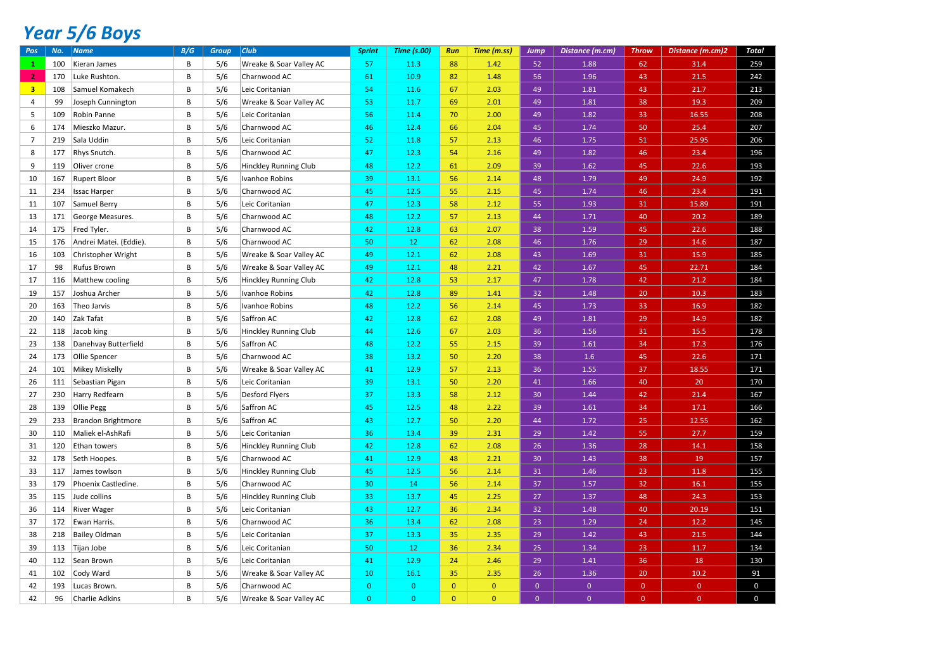# *Year 5/6 Boys*

| Pos            | No. | <b>Name</b>               | B/G | <b>Group</b> | <b>Club</b>                  | <b>Sprint</b> | <b>Time (s.00)</b> | Run            | Time (m.ss)  | <b>Jump</b>    | Distance (m.cm) | <b>Throw</b>   | Distance (m.cm)2 | <b>Total</b> |
|----------------|-----|---------------------------|-----|--------------|------------------------------|---------------|--------------------|----------------|--------------|----------------|-----------------|----------------|------------------|--------------|
|                | 100 | Kieran James              | B   | 5/6          | Wreake & Soar Valley AC      | 57            | 11.3               | 88             | 1.42         | 52             | 1.88            | 62             | 31.4             | 259          |
| 2 <sub>1</sub> | 170 | Luke Rushton.             | B   | 5/6          | Charnwood AC                 | 61            | 10.9               | 82             | 1.48         | 56             | 1.96            | 43             | 21.5             | 242          |
| 3 <sup>7</sup> | 108 | Samuel Komakech           | B   | 5/6          | Leic Coritanian              | 54            | 11.6               | 67             | 2.03         | 49             | 1.81            | 43             | 21.7             | 213          |
| $\overline{4}$ | 99  | Joseph Cunnington         | B   | 5/6          | Wreake & Soar Valley AC      | 53            | 11.7               | 69             | 2.01         | 49             | 1.81            | 38             | 19.3             | 209          |
| 5              | 109 | Robin Panne               | B   | 5/6          | Leic Coritanian              | 56            | 11.4               | 70             | 2.00         | 49             | 1.82            | 33             | 16.55            | 208          |
| 6              | 174 | Mieszko Mazur.            | B   | 5/6          | Charnwood AC                 | 46            | 12.4               | 66             | 2.04         | 45             | 1.74            | 50             | 25.4             | 207          |
| $\overline{7}$ | 219 | Sala Uddin                | B   | 5/6          | Leic Coritanian              | 52            | 11.8               | 57             | 2.13         | 46             | 1.75            | 51             | 25.95            | 206          |
| 8              | 177 | Rhys Snutch.              | B   | 5/6          | Charnwood AC                 | 47            | 12.3               | 54             | 2.16         | 49             | 1.82            | 46             | 23.4             | 196          |
| 9              | 119 | Oliver crone              | B   | 5/6          | <b>Hinckley Running Club</b> | 48            | 12.2               | 61             | 2.09         | 39             | 1.62            | 45             | 22.6             | 193          |
| 10             | 167 | Rupert Bloor              | B   | 5/6          | Ivanhoe Robins               | 39            | 13.1               | 56             | 2.14         | 48             | 1.79            | 49             | 24.9             | 192          |
| 11             | 234 | <b>Issac Harper</b>       | B   | 5/6          | Charnwood AC                 | 45            | 12.5               | 55             | 2.15         | 45             | 1.74            | 46             | 23.4             | 191          |
| 11             | 107 | Samuel Berry              | B   | 5/6          | Leic Coritanian              | 47            | 12.3               | 58             | 2.12         | 55             | 1.93            | 31             | 15.89            | 191          |
| 13             | 171 | George Measures.          | В   | 5/6          | Charnwood AC                 | 48            | 12.2               | 57             | 2.13         | 44             | 1.71            | 40             | 20.2             | 189          |
| 14             | 175 | Fred Tyler.               | B   | 5/6          | Charnwood AC                 | 42            | 12.8               | 63             | 2.07         | 38             | 1.59            | 45             | 22.6             | 188          |
| 15             | 176 | Andrei Matei. (Eddie).    | B   | 5/6          | Charnwood AC                 | 50            | 12 <sup>°</sup>    | 62             | 2.08         | 46             | 1.76            | 29             | 14.6             | 187          |
| 16             | 103 | Christopher Wright        | B   | 5/6          | Wreake & Soar Valley AC      | 49            | 12.1               | 62             | 2.08         | 43             | 1.69            | 31             | 15.9             | 185          |
| 17             | 98  | Rufus Brown               | В   | 5/6          | Wreake & Soar Valley AC      | 49            | 12.1               | 48             | 2.21         | 42             | 1.67            | 45             | 22.71            | 184          |
| 17             | 116 | Matthew cooling           | B   | 5/6          | Hinckley Running Club        | 42            | 12.8               | 53             | 2.17         | 47             | 1.78            | 42             | 21.2             | 184          |
| 19             | 157 | Joshua Archer             | B   | 5/6          | Ivanhoe Robins               | 42            | 12.8               | 89             | 1.41         | 32             | 1.48            | 20             | 10.3             | 183          |
| 20             | 163 | Theo Jarvis               | B   | 5/6          | Ivanhoe Robins               | 48            | 12.2               | 56             | 2.14         | 45             | 1.73            | 33             | 16.9             | 182          |
| 20             | 140 | Zak Tafat                 | B   | 5/6          | Saffron AC                   | 42            | 12.8               | 62             | 2.08         | 49             | 1.81            | 29             | 14.9             | 182          |
| 22             | 118 | Jacob king                | В   | 5/6          | Hinckley Running Club        | 44            | 12.6               | 67             | 2.03         | 36             | 1.56            | 31             | 15.5             | 178          |
| 23             | 138 | Danehvay Butterfield      | B   | 5/6          | Saffron AC                   | 48            | 12.2               | 55             | 2.15         | 39             | 1.61            | 34             | 17.3             | 176          |
| 24             | 173 | Ollie Spencer             | В   | 5/6          | Charnwood AC                 | 38            | 13.2               | 50             | 2.20         | 38             | 1.6             | 45             | 22.6             | 171          |
| 24             | 101 | <b>Mikey Miskelly</b>     | B   | 5/6          | Wreake & Soar Valley AC      | 41            | 12.9               | 57             | 2.13         | 36             | 1.55            | 37             | 18.55            | 171          |
| 26             | 111 | Sebastian Pigan           | B   | 5/6          | Leic Coritanian              | 39            | 13.1               | 50             | 2.20         | 41             | 1.66            | 40             | 20               | 170          |
| 27             | 230 | Harry Redfearn            | B   | 5/6          | Desford Flyers               | 37            | 13.3               | 58             | 2.12         | 30             | 1.44            | 42             | 21.4             | 167          |
| 28             | 139 | Ollie Pegg                | B   | 5/6          | Saffron AC                   | 45            | 12.5               | 48             | 2.22         | 39             | 1.61            | 34             | 17.1             | 166          |
| 29             | 233 | <b>Brandon Brightmore</b> | B   | 5/6          | Saffron AC                   | 43            | 12.7               | 50             | 2.20         | 44             | 1.72            | 25             | 12.55            | 162          |
| 30             | 110 | Maliek el-AshRafi         | B   | 5/6          | Leic Coritanian              | 36            | 13.4               | 39             | 2.31         | 29             | 1.42            | 55             | 27.7             | 159          |
| 31             | 120 | Ethan towers              | B   | 5/6          | Hinckley Running Club        | 42            | 12.8               | 62             | 2.08         | 26             | 1.36            | 28             | 14.1             | 158          |
| 32             | 178 | Seth Hoopes.              | B   | 5/6          | Charnwood AC                 | 41            | 12.9               | 48             | 2.21         | 30             | 1.43            | 38             | 19               | 157          |
| 33             | 117 | James towlson             | B   | 5/6          | Hinckley Running Club        | 45            | 12.5               | 56             | 2.14         | 31             | 1.46            | 23             | 11.8             | 155          |
| 33             | 179 | Phoenix Castledine.       | В   | 5/6          | Charnwood AC                 | 30            | 14                 | 56             | 2.14         | 37             | 1.57            | 32             | 16.1             | 155          |
| 35             | 115 | Jude collins              | B   | 5/6          | <b>Hinckley Running Club</b> | 33            | 13.7               | 45             | 2.25         | 27             | 1.37            | 48             | 24.3             | 153          |
| 36             | 114 | <b>River Wager</b>        | В   | 5/6          | Leic Coritanian              | 43            | 12.7               | 36             | 2.34         | 32             | 1.48            | 40             | 20.19            | 151          |
| 37             | 172 | Ewan Harris.              | B   | 5/6          | Charnwood AC                 | 36            | 13.4               | 62             | 2.08         | 23             | 1.29            | 24             | 12.2             | 145          |
| 38             | 218 | <b>Bailey Oldman</b>      | B   | 5/6          | Leic Coritanian              | 37            | 13.3               | 35             | 2.35         | 29             | 1.42            | 43             | 21.5             | 144          |
| 39             | 113 | Tijan Jobe                | B   | 5/6          | Leic Coritanian              | 50            | 12                 | 36             | 2.34         | 25             | 1.34            | 23             | 11.7             | 134          |
| 40             | 112 | Sean Brown                | B   | 5/6          | Leic Coritanian              | 41            | 12.9               | 24             | 2.46         | 29             | 1.41            | 36             | 18               | 130          |
| 41             | 102 | Cody Ward                 | B   | 5/6          | Wreake & Soar Valley AC      | 10            | 16.1               | 35             | 2.35         | 26             | 1.36            | 20             | 10.2             | 91           |
| 42             | 193 | Lucas Brown.              | B   | 5/6          | Charnwood AC                 | $\mathbf{0}$  | $\mathbf{0}$       | $\overline{0}$ | $\mathbf{0}$ | $\overline{0}$ | $\mathbf{0}$    | $\overline{0}$ | $\overline{0}$   | $\mathsf{O}$ |
| 42             | 96  | Charlie Adkins            | R   | 5/6          | Wreake & Soar Valley AC      | $\Omega$      | $\Omega$           | $\Omega$       | $\Omega$     | $\Omega$       | $\overline{0}$  | $\Omega$       | $\Omega$         | $\mathbf 0$  |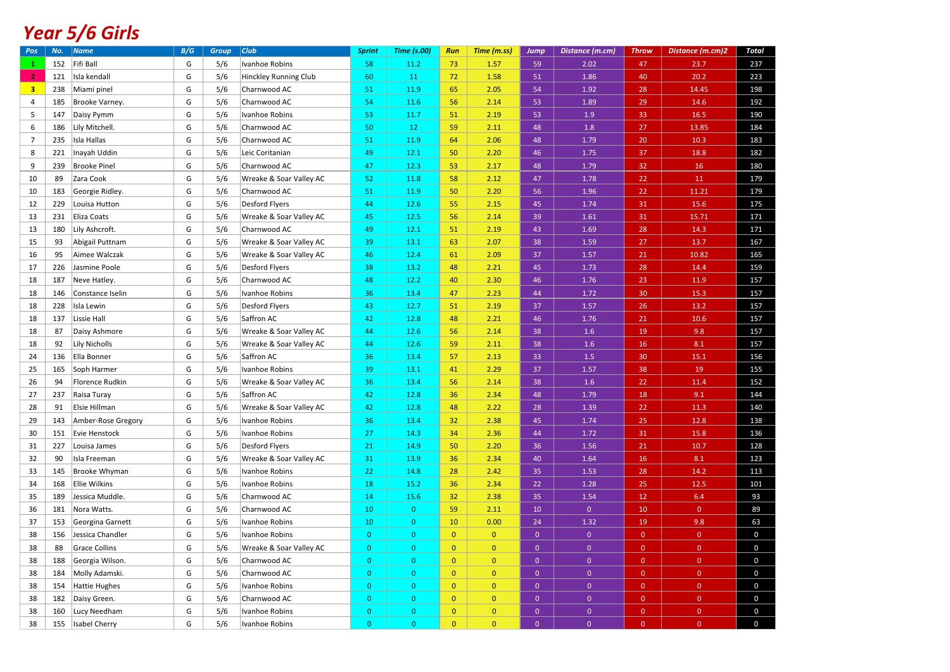# *Year 5/6 Girls*

| Pos            | No. | Name                 | B/G | <b>Group</b> | $ _{\text{Club}}$       | <b>Sprint</b>  | <b>Time (s.00)</b> | Run            | Time (m.ss)    | <b>Jump</b>    | Distance (m.cm) | <b>Throw</b>    | Distance (m.cm)2 | Total        |
|----------------|-----|----------------------|-----|--------------|-------------------------|----------------|--------------------|----------------|----------------|----------------|-----------------|-----------------|------------------|--------------|
| $\mathbf{1}$   | 152 | Fifi Ball            | G   | 5/6          | Ivanhoe Robins          | 58             | 11.2               | 73             | 1.57           | 59             | 2.02            | 47              | 23.7             | 237          |
| 2 <sup>1</sup> | 121 | Isla kendall         | G   | 5/6          | Hinckley Running Club   | 60             | 11                 | 72             | 1.58           | 51             | 1.86            | 40              | 20.2             | 223          |
| 3 <sup>7</sup> | 238 | Miami pinel          | G   | 5/6          | Charnwood AC            | 51             | 11.9               | 65             | 2.05           | 54             | 1.92            | 28              | 14.45            | 198          |
| 4              | 185 | Brooke Varney.       | G   | 5/6          | Charnwood AC            | 54             | 11.6               | 56             | 2.14           | 53             | 1.89            | 29              | 14.6             | 192          |
| 5              | 147 | Daisy Pymm           | G   | 5/6          | Ivanhoe Robins          | 53             | 11.7               | 51             | 2.19           | 53             | 1.9             | 33              | 16.5             | 190          |
| 6              | 186 | Lily Mitchell.       | G   | 5/6          | Charnwood AC            | 50             | 12                 | 59             | 2.11           | 48             | $1.8\,$         | 27              | 13.85            | 184          |
| $\overline{7}$ | 235 | Isla Hallas          | G   | 5/6          | Charnwood AC            | 51             | 11.9               | 64             | 2.06           | 48             | 1.79            | 20              | 10.3             | 183          |
| 8              | 221 | Inayah Uddin         | G   | 5/6          | Leic Coritanian         | 49             | 12.1               | 50             | 2.20           | 46             | 1.75            | 37              | 18.8             | 182          |
| 9              | 239 | <b>Brooke Pinel</b>  | G   | 5/6          | Charnwood AC            | 47             | 12.3               | 53             | 2.17           | 48             | 1.79            | 32              | 16               | 180          |
| 10             | 89  | Zara Cook            | G   | 5/6          | Wreake & Soar Valley AC | 52             | 11.8               | 58             | 2.12           | 47             | 1.78            | 22              | 11               | 179          |
| 10             | 183 | Georgie Ridley       | G   | 5/6          | Charnwood AC            | 51             | 11.9               | 50             | 2.20           | 56             | 1.96            | 22              | 11.21            | 179          |
| 12             | 229 | Louisa Hutton        | G   | 5/6          | Desford Flyers          | 44             | 12.6               | 55             | 2.15           | 45             | 1.74            | 31              | 15.6             | 175          |
| 13             | 231 | Eliza Coats          | G   | 5/6          | Wreake & Soar Valley AC | 45             | 12.5               | 56             | 2.14           | 39             | 1.61            | 31              | 15.71            | 171          |
| 13             | 180 | Lily Ashcroft.       | G   | 5/6          | Charnwood AC            | 49             | 12.1               | 51             | 2.19           | 43             | 1.69            | 28              | 14.3             | 171          |
| 15             | 93  | Abigail Puttnam      | G   | 5/6          | Wreake & Soar Valley AC | 39             | 13.1               | 63             | 2.07           | 38             | 1.59            | 27              | 13.7             | 167          |
| 16             | 95  | Aimee Walczak        | G   | 5/6          | Wreake & Soar Valley AC | 46             | 12.4               | 61             | 2.09           | 37             | 1.57            | 21              | 10.82            | 165          |
| 17             | 226 | Jasmine Poole        | G   | 5/6          | Desford Flyers          | 38             | 13.2               | 48             | 2.21           | 45             | 1.73            | 28              | 14.4             | 159          |
| 18             | 187 | Neve Hatley.         | G   | 5/6          | Charnwood AC            | 48             | 12.2               | 40             | 2.30           | 46             | 1.76            | 23              | 11.9             | 157          |
| 18             | 146 | Constance Iselin     | G   | 5/6          | Ivanhoe Robins          | 36             | 13.4               | 47             | 2.23           | 44             | 1.72            | 30 <sub>o</sub> | 15.3             | 157          |
| 18             | 228 | Isla Lewin           | G   | 5/6          | Desford Flyers          | 43             | 12.7               | 51             | 2.19           | 37             | 1.57            | 26              | 13.2             | 157          |
| 18             | 137 | Lissie Hall          | G   | 5/6          | Saffron AC              | 42             | 12.8               | 48             | 2.21           | 46             | 1.76            | 21              | 10.6             | 157          |
| 18             | 87  | Daisy Ashmore        | G   | 5/6          | Wreake & Soar Valley AC | 44             | 12.6               | 56             | 2.14           | 38             | 1.6             | 19              | 9.8              | 157          |
| 18             | 92  | <b>Lily Nicholls</b> | G   | 5/6          | Wreake & Soar Valley AC | 44             | 12.6               | 59             | 2.11           | 38             | 1.6             | 16              | 8.1              | 157          |
| 24             | 136 | Ella Bonner          | G   | 5/6          | Saffron AC              | 36             | 13.4               | 57             | 2.13           | 33             | $1.5\,$         | 30              | 15.1             | 156          |
| 25             | 165 | Soph Harmer          | G   | 5/6          | Ivanhoe Robins          | 39             | 13.1               | 41             | 2.29           | 37             | 1.57            | 38              | 19               | 155          |
| 26             | 94  | Florence Rudkin      | G   | 5/6          | Wreake & Soar Valley AC | 36             | 13.4               | 56             | 2.14           | 38             | $1.6\,$         | 22              | 11.4             | 152          |
| 27             | 237 | Raisa Turay          | G   | 5/6          | Saffron AC              | 42             | 12.8               | 36             | 2.34           | 48             | 1.79            | 18              | 9.1              | 144          |
| 28             | 91  | Elsie Hillman        | G   | 5/6          | Wreake & Soar Valley AC | 42             | 12.8               | 48             | 2.22           | 28             | 1.39            | 22              | 11.3             | 140          |
| 29             | 143 | Amber-Rose Gregory   | G   | 5/6          | Ivanhoe Robins          | 36             | 13.4               | 32             | 2.38           | 45             | 1.74            | 25              | 12.8             | 138          |
| 30             | 151 | Evie Henstock        | G   | 5/6          | <b>Ivanhoe Robins</b>   | 27             | 14.3               | 34             | 2.36           | 44             | 1.72            | 31              | 15.8             | 136          |
| 31             | 227 | Louisa James         | G   | 5/6          | Desford Flyers          | 21             | 14.9               | 50             | 2.20           | 36             | 1.56            | 21              | 10.7             | 128          |
| 32             | 90  | Isla Freeman         | G   | 5/6          | Wreake & Soar Valley AC | 31             | 13.9               | 36             | 2.34           | 40             | 1.64            | 16              | 8.1              | 123          |
| 33             | 145 | Brooke Whyman        | G   | 5/6          | Ivanhoe Robins          | 22             | 14.8               | 28             | 2.42           | 35             | 1.53            | 28              | 14.2             | 113          |
| 34             | 168 | <b>Ellie Wilkins</b> | G   | 5/6          | Ivanhoe Robins          | $18\,$         | 15.2               | 36             | 2.34           | 22             | 1.28            | 25              | 12.5             | 101          |
| 35             | 189 | Jessica Muddle.      | G   | 5/6          | Charnwood AC            | 14             | 15.6               | 32             | 2.38           | 35             | 1.54            | 12              | 6.4              | 93           |
| 36             | 181 | Nora Watts.          | G   | 5/6          | Charnwood AC            | 10             | $\overline{0}$     | 59             | 2.11           | 10             | $\overline{0}$  | 10              | $\overline{0}$   | 89           |
| 37             | 153 | Georgina Garnett     | G   | 5/6          | Ivanhoe Robins          | 10             | $\overline{0}$     | 10             | 0.00           | 24             | 1.32            | 19              | 9.8              | 63           |
| 38             | 156 | Jessica Chandler     | G   | 5/6          | Ivanhoe Robins          | $\mathbf{0}$   | $\overline{0}$     | $\overline{0}$ | $\overline{0}$ | $\mathbf{0}$   | $\overline{0}$  | $\overline{0}$  | $\overline{0}$   | $\mathbf 0$  |
| 38             | 88  | <b>Grace Collins</b> | G   | 5/6          | Wreake & Soar Valley AC | $\overline{0}$ | $\overline{0}$     | $\overline{0}$ | $\mathbf{0}$   | $\mathbf{0}$   | $\overline{0}$  | $\overline{0}$  | $\overline{0}$   | $\mathsf{O}$ |
| 38             | 188 | Georgia Wilson.      | G   | 5/6          | Charnwood AC            | $\overline{0}$ | $\overline{0}$     | $\overline{0}$ | $\mathbf{0}$   | $\overline{0}$ | $\overline{0}$  | $\overline{0}$  | $\overline{0}$   | $\mathbf 0$  |
| 38             | 184 | Molly Adamski        | G   | 5/6          | Charnwood AC            | $\mathbf{0}$   | $\overline{0}$     | $\overline{0}$ | $\mathbf{0}$   | $\mathbf{0}$   | $\overline{0}$  | $\mathbf{0}$    | $\overline{0}$   | $\mathbf 0$  |
| 38             | 154 | <b>Hattie Hughes</b> | G   | 5/6          | Ivanhoe Robins          | $\mathbf{0}$   | $\mathbf{0}$       | $\overline{0}$ | $\overline{0}$ | $\overline{0}$ | $\overline{0}$  | $\mathbf{0}$    | $\overline{0}$   | $\mathbf 0$  |
| 38             | 182 | Daisy Green.         | G   | 5/6          | Charnwood AC            | $\overline{0}$ | $\overline{0}$     | $\overline{0}$ | $\overline{0}$ | $\overline{0}$ | $\overline{0}$  | $\overline{0}$  | $\overline{0}$   | $\mathbf 0$  |
| 38             | 160 | Lucy Needham         | G   | 5/6          | Ivanhoe Robins          | $\overline{0}$ | $\overline{0}$     | $\overline{0}$ | $\overline{0}$ | $\overline{0}$ | $\overline{0}$  | $\overline{0}$  | $\overline{0}$   | $\pmb{0}$    |
| 38             | 155 | <b>Isabel Cherry</b> | G   | 5/6          | Ivanhoe Robins          | $\overline{0}$ | $\mathbf{0}$       | $\overline{0}$ | $\overline{0}$ | $\mathbf{0}$   | $\overline{0}$  | $\Omega$        | $\mathbf{0}$     | 0            |
|                |     |                      |     |              |                         |                |                    |                |                |                |                 |                 |                  |              |